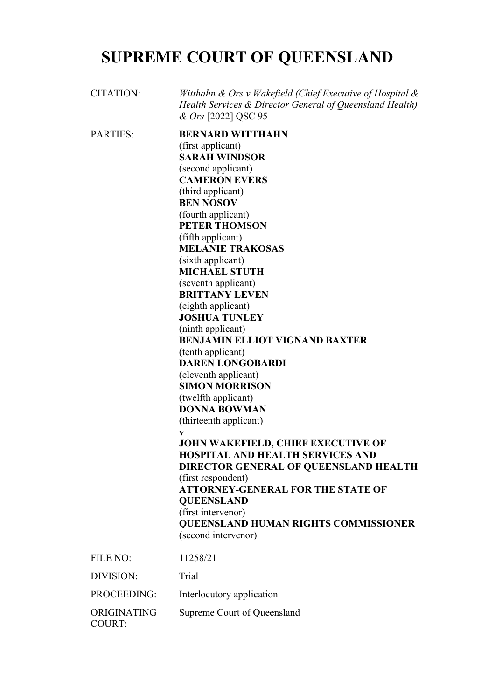## **SUPREME COURT OF QUEENSLAND**

| <b>CITATION:</b>             | Witthahn & Ors v Wakefield (Chief Executive of Hospital $\&$<br>Health Services & Director General of Queensland Health)<br>& Ors [2022] QSC 95                                                                                                                                                                                                                                                                                                                                                                                                                                                                                                                                                                                                                                                                                                                                                                                                               |
|------------------------------|---------------------------------------------------------------------------------------------------------------------------------------------------------------------------------------------------------------------------------------------------------------------------------------------------------------------------------------------------------------------------------------------------------------------------------------------------------------------------------------------------------------------------------------------------------------------------------------------------------------------------------------------------------------------------------------------------------------------------------------------------------------------------------------------------------------------------------------------------------------------------------------------------------------------------------------------------------------|
| <b>PARTIES:</b>              | <b>BERNARD WITTHAHN</b><br>(first applicant)<br><b>SARAH WINDSOR</b><br>(second applicant)<br><b>CAMERON EVERS</b><br>(third applicant)<br><b>BEN NOSOV</b><br>(fourth applicant)<br><b>PETER THOMSON</b><br>(fifth applicant)<br><b>MELANIE TRAKOSAS</b><br>(sixth applicant)<br><b>MICHAEL STUTH</b><br>(seventh applicant)<br><b>BRITTANY LEVEN</b><br>(eighth applicant)<br><b>JOSHUA TUNLEY</b><br>(ninth applicant)<br><b>BENJAMIN ELLIOT VIGNAND BAXTER</b><br>(tenth applicant)<br><b>DAREN LONGOBARDI</b><br>(eleventh applicant)<br><b>SIMON MORRISON</b><br>(twelfth applicant)<br><b>DONNA BOWMAN</b><br>(thirteenth applicant)<br>V<br>JOHN WAKEFIELD, CHIEF EXECUTIVE OF<br><b>HOSPITAL AND HEALTH SERVICES AND</b><br>DIRECTOR GENERAL OF QUEENSLAND HEALTH<br>(first respondent)<br><b>ATTORNEY-GENERAL FOR THE STATE OF</b><br><b>QUEENSLAND</b><br>(first intervenor)<br><b>QUEENSLAND HUMAN RIGHTS COMMISSIONER</b><br>(second intervenor) |
| <b>FILE NO:</b>              | 11258/21                                                                                                                                                                                                                                                                                                                                                                                                                                                                                                                                                                                                                                                                                                                                                                                                                                                                                                                                                      |
| DIVISION:                    | Trial                                                                                                                                                                                                                                                                                                                                                                                                                                                                                                                                                                                                                                                                                                                                                                                                                                                                                                                                                         |
| PROCEEDING:                  | Interlocutory application                                                                                                                                                                                                                                                                                                                                                                                                                                                                                                                                                                                                                                                                                                                                                                                                                                                                                                                                     |
| ORIGINATING<br><b>COURT:</b> | Supreme Court of Queensland                                                                                                                                                                                                                                                                                                                                                                                                                                                                                                                                                                                                                                                                                                                                                                                                                                                                                                                                   |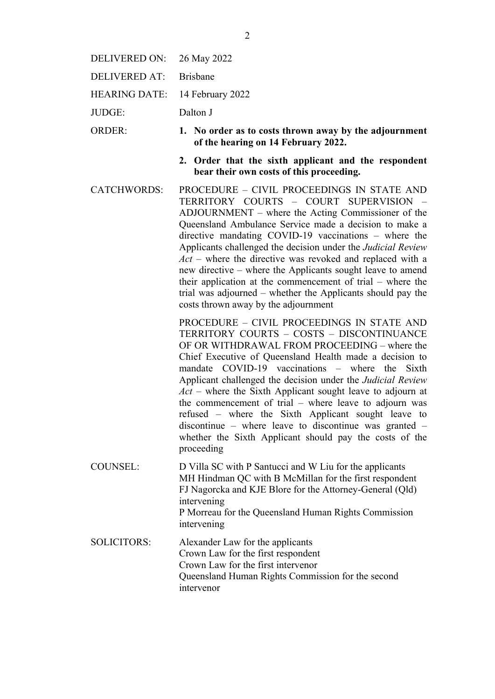| DELIVERED ON: | 26 May 2022 |
|---------------|-------------|
|---------------|-------------|

- DELIVERED AT: Brisbane
- HEARING DATE: 14 February 2022
- JUDGE: Dalton J
- ORDER: **1. No order as to costs thrown away by the adjournment of the hearing on 14 February 2022.**
	- **2. Order that the sixth applicant and the respondent bear their own costs of this proceeding.**
- CATCHWORDS: PROCEDURE CIVIL PROCEEDINGS IN STATE AND TERRITORY COURTS – COURT SUPERVISION – ADJOURNMENT – where the Acting Commissioner of the Queensland Ambulance Service made a decision to make a directive mandating COVID-19 vaccinations – where the Applicants challenged the decision under the *Judicial Review Act* – where the directive was revoked and replaced with a new directive – where the Applicants sought leave to amend their application at the commencement of trial – where the trial was adjourned – whether the Applicants should pay the costs thrown away by the adjournment

PROCEDURE – CIVIL PROCEEDINGS IN STATE AND TERRITORY COURTS – COSTS – DISCONTINUANCE OF OR WITHDRAWAL FROM PROCEEDING – where the Chief Executive of Queensland Health made a decision to mandate COVID-19 vaccinations – where the Sixth Applicant challenged the decision under the *Judicial Review Act* – where the Sixth Applicant sought leave to adjourn at the commencement of trial – where leave to adjourn was refused – where the Sixth Applicant sought leave to discontinue – where leave to discontinue was granted – whether the Sixth Applicant should pay the costs of the proceeding

COUNSEL: D Villa SC with P Santucci and W Liu for the applicants MH Hindman QC with B McMillan for the first respondent FJ Nagorcka and KJE Blore for the Attorney-General (Qld) intervening P Morreau for the Queensland Human Rights Commission intervening

SOLICITORS: Alexander Law for the applicants Crown Law for the first respondent Crown Law for the first intervenor Queensland Human Rights Commission for the second intervenor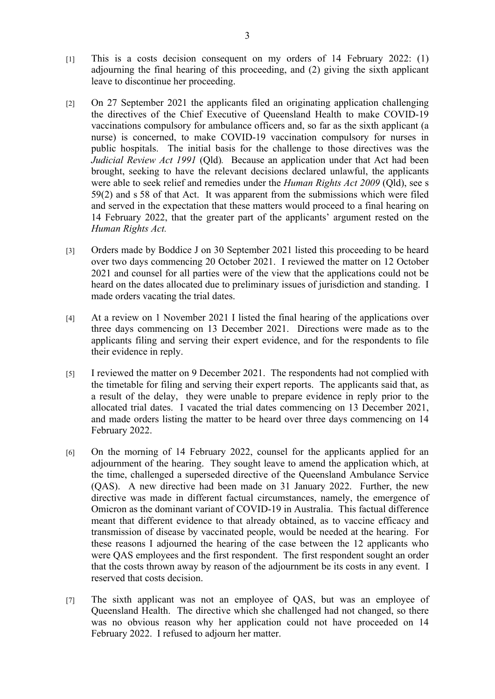- [1] This is a costs decision consequent on my orders of 14 February 2022: (1) adjourning the final hearing of this proceeding, and (2) giving the sixth applicant leave to discontinue her proceeding.
- [2] On 27 September 2021 the applicants filed an originating application challenging the directives of the Chief Executive of Queensland Health to make COVID-19 vaccinations compulsory for ambulance officers and, so far as the sixth applicant (a nurse) is concerned, to make COVID-19 vaccination compulsory for nurses in public hospitals. The initial basis for the challenge to those directives was the *Judicial Review Act 1991* (Qld)*.* Because an application under that Act had been brought, seeking to have the relevant decisions declared unlawful, the applicants were able to seek relief and remedies under the *Human Rights Act 2009* (Qld), see s 59(2) and s 58 of that Act. It was apparent from the submissions which were filed and served in the expectation that these matters would proceed to a final hearing on 14 February 2022, that the greater part of the applicants' argument rested on the *Human Rights Act.*
- [3] Orders made by Boddice J on 30 September 2021 listed this proceeding to be heard over two days commencing 20 October 2021. I reviewed the matter on 12 October 2021 and counsel for all parties were of the view that the applications could not be heard on the dates allocated due to preliminary issues of jurisdiction and standing. I made orders vacating the trial dates.
- [4] At a review on 1 November 2021 I listed the final hearing of the applications over three days commencing on 13 December 2021. Directions were made as to the applicants filing and serving their expert evidence, and for the respondents to file their evidence in reply.
- [5] I reviewed the matter on 9 December 2021. The respondents had not complied with the timetable for filing and serving their expert reports. The applicants said that, as a result of the delay, they were unable to prepare evidence in reply prior to the allocated trial dates. I vacated the trial dates commencing on 13 December 2021, and made orders listing the matter to be heard over three days commencing on 14 February 2022.
- [6] On the morning of 14 February 2022, counsel for the applicants applied for an adjournment of the hearing. They sought leave to amend the application which, at the time, challenged a superseded directive of the Queensland Ambulance Service (QAS). A new directive had been made on 31 January 2022. Further, the new directive was made in different factual circumstances, namely, the emergence of Omicron as the dominant variant of COVID-19 in Australia. This factual difference meant that different evidence to that already obtained, as to vaccine efficacy and transmission of disease by vaccinated people, would be needed at the hearing. For these reasons I adjourned the hearing of the case between the 12 applicants who were QAS employees and the first respondent. The first respondent sought an order that the costs thrown away by reason of the adjournment be its costs in any event. I reserved that costs decision.
- [7] The sixth applicant was not an employee of QAS, but was an employee of Queensland Health. The directive which she challenged had not changed, so there was no obvious reason why her application could not have proceeded on 14 February 2022. I refused to adjourn her matter.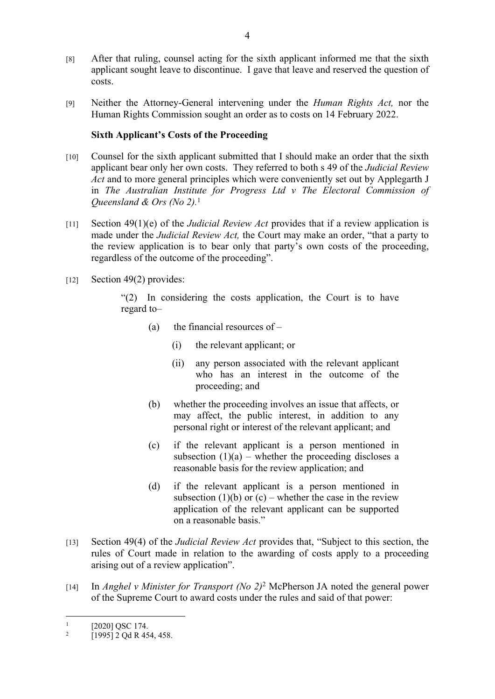- [8] After that ruling, counsel acting for the sixth applicant informed me that the sixth applicant sought leave to discontinue. I gave that leave and reserved the question of costs.
- [9] Neither the Attorney-General intervening under the *Human Rights Act,* nor the Human Rights Commission sought an order as to costs on 14 February 2022.

## **Sixth Applicant's Costs of the Proceeding**

- [10] Counsel for the sixth applicant submitted that I should make an order that the sixth applicant bear only her own costs. They referred to both s 49 of the *Judicial Review Act* and to more general principles which were conveniently set out by Applegarth J in *The Australian Institute for Progress Ltd v The Electoral Commission of Queensland & Ors (No 2).*<sup>1</sup>
- [11] Section 49(1)(e) of the *Judicial Review Act* provides that if a review application is made under the *Judicial Review Act,* the Court may make an order, "that a party to the review application is to bear only that party's own costs of the proceeding, regardless of the outcome of the proceeding".
- $[12]$  Section 49(2) provides:

"(2) In considering the costs application, the Court is to have regard to–

- (a) the financial resources of  $-$ 
	- (i) the relevant applicant; or
	- (ii) any person associated with the relevant applicant who has an interest in the outcome of the proceeding; and
- (b) whether the proceeding involves an issue that affects, or may affect, the public interest, in addition to any personal right or interest of the relevant applicant; and
- (c) if the relevant applicant is a person mentioned in subsection  $(1)(a)$  – whether the proceeding discloses a reasonable basis for the review application; and
- (d) if the relevant applicant is a person mentioned in subsection  $(1)(b)$  or  $(c)$  – whether the case in the review application of the relevant applicant can be supported on a reasonable basis."
- [13] Section 49(4) of the *Judicial Review Act* provides that, "Subject to this section, the rules of Court made in relation to the awarding of costs apply to a proceeding arising out of a review application".
- [14] In *Anghel v Minister for Transport (No 2)*<sup>2</sup> McPherson JA noted the general power of the Supreme Court to award costs under the rules and said of that power:

<sup>1</sup> [2020] OSC 174.

<sup>2</sup> [1995] 2 Qd R 454, 458.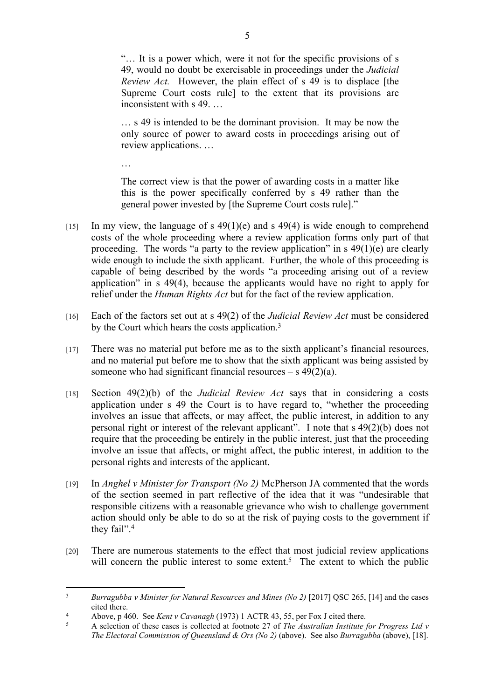"… It is a power which, were it not for the specific provisions of s 49, would no doubt be exercisable in proceedings under the *Judicial Review Act.* However, the plain effect of s 49 is to displace [the Supreme Court costs rule] to the extent that its provisions are inconsistent with s 49. …

… s 49 is intended to be the dominant provision. It may be now the only source of power to award costs in proceedings arising out of review applications. …

…

The correct view is that the power of awarding costs in a matter like this is the power specifically conferred by s 49 rather than the general power invested by [the Supreme Court costs rule]."

- [15] In my view, the language of s  $49(1)(e)$  and s  $49(4)$  is wide enough to comprehend costs of the whole proceeding where a review application forms only part of that proceeding. The words "a party to the review application" in s 49(1)(e) are clearly wide enough to include the sixth applicant. Further, the whole of this proceeding is capable of being described by the words "a proceeding arising out of a review application" in s 49(4), because the applicants would have no right to apply for relief under the *Human Rights Act* but for the fact of the review application.
- [16] Each of the factors set out at s 49(2) of the *Judicial Review Act* must be considered by the Court which hears the costs application.<sup>3</sup>
- [17] There was no material put before me as to the sixth applicant's financial resources, and no material put before me to show that the sixth applicant was being assisted by someone who had significant financial resources – s  $49(2)(a)$ .
- [18] Section 49(2)(b) of the *Judicial Review Act* says that in considering a costs application under s 49 the Court is to have regard to, "whether the proceeding involves an issue that affects, or may affect, the public interest, in addition to any personal right or interest of the relevant applicant". I note that s 49(2)(b) does not require that the proceeding be entirely in the public interest, just that the proceeding involve an issue that affects, or might affect, the public interest, in addition to the personal rights and interests of the applicant.
- [19] In *Anghel v Minister for Transport (No 2)* McPherson JA commented that the words of the section seemed in part reflective of the idea that it was "undesirable that responsible citizens with a reasonable grievance who wish to challenge government action should only be able to do so at the risk of paying costs to the government if they fail".<sup>4</sup>
- [20] There are numerous statements to the effect that most judicial review applications will concern the public interest to some extent.<sup>5</sup> The extent to which the public

<sup>&</sup>lt;sup>3</sup> *Burragubba v Minister for Natural Resources and Mines (No 2)* [2017] QSC 265, [14] and the cases cited there.

<sup>4</sup> Above, p 460. See *Kent v Cavanagh* (1973) 1 ACTR 43, 55, per Fox J cited there.

<sup>5</sup> A selection of these cases is collected at footnote 27 of *The Australian Institute for Progress Ltd v The Electoral Commission of Queensland & Ors (No 2)* (above). See also *Burragubba* (above), [18].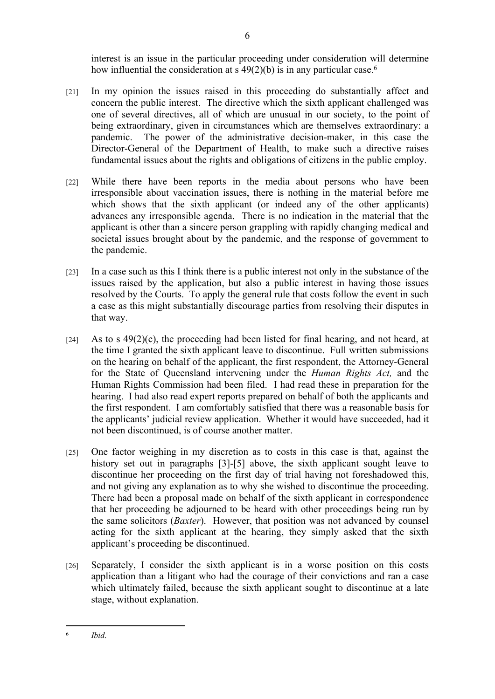interest is an issue in the particular proceeding under consideration will determine how influential the consideration at  $s$  49(2)(b) is in any particular case.<sup>6</sup>

- [21] In my opinion the issues raised in this proceeding do substantially affect and concern the public interest. The directive which the sixth applicant challenged was one of several directives, all of which are unusual in our society, to the point of being extraordinary, given in circumstances which are themselves extraordinary: a pandemic. The power of the administrative decision-maker, in this case the Director-General of the Department of Health, to make such a directive raises fundamental issues about the rights and obligations of citizens in the public employ.
- [22] While there have been reports in the media about persons who have been irresponsible about vaccination issues, there is nothing in the material before me which shows that the sixth applicant (or indeed any of the other applicants) advances any irresponsible agenda. There is no indication in the material that the applicant is other than a sincere person grappling with rapidly changing medical and societal issues brought about by the pandemic, and the response of government to the pandemic.
- [23] In a case such as this I think there is a public interest not only in the substance of the issues raised by the application, but also a public interest in having those issues resolved by the Courts. To apply the general rule that costs follow the event in such a case as this might substantially discourage parties from resolving their disputes in that way.
- [24] As to s  $49(2)(c)$ , the proceeding had been listed for final hearing, and not heard, at the time I granted the sixth applicant leave to discontinue. Full written submissions on the hearing on behalf of the applicant, the first respondent, the Attorney-General for the State of Queensland intervening under the *Human Rights Act,* and the Human Rights Commission had been filed. I had read these in preparation for the hearing. I had also read expert reports prepared on behalf of both the applicants and the first respondent. I am comfortably satisfied that there was a reasonable basis for the applicants' judicial review application. Whether it would have succeeded, had it not been discontinued, is of course another matter.
- [25] One factor weighing in my discretion as to costs in this case is that, against the history set out in paragraphs [3]-[5] above, the sixth applicant sought leave to discontinue her proceeding on the first day of trial having not foreshadowed this, and not giving any explanation as to why she wished to discontinue the proceeding. There had been a proposal made on behalf of the sixth applicant in correspondence that her proceeding be adjourned to be heard with other proceedings being run by the same solicitors (*Baxter*). However, that position was not advanced by counsel acting for the sixth applicant at the hearing, they simply asked that the sixth applicant's proceeding be discontinued.
- [26] Separately, I consider the sixth applicant is in a worse position on this costs application than a litigant who had the courage of their convictions and ran a case which ultimately failed, because the sixth applicant sought to discontinue at a late stage, without explanation.

<sup>6</sup> *Ibid*.